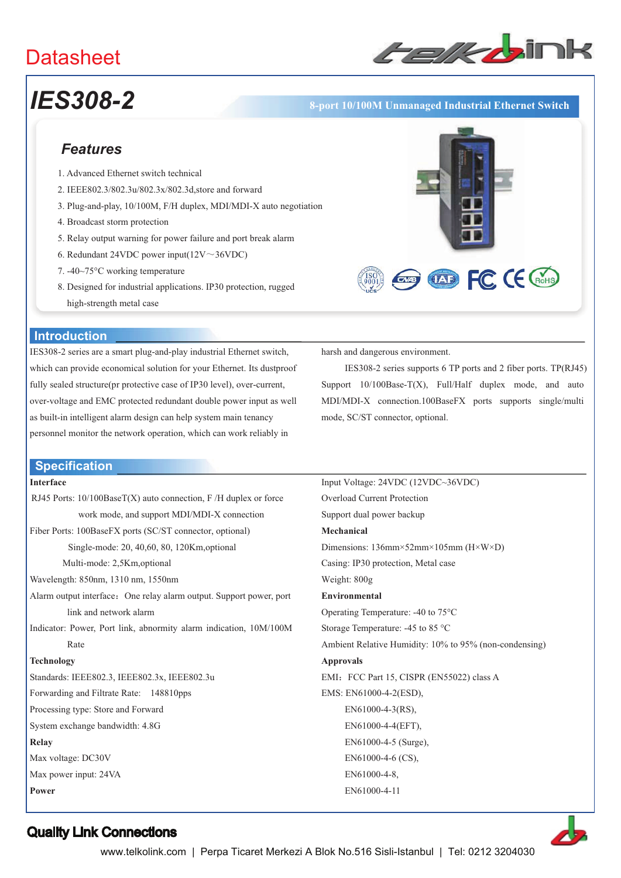# **Datasheet**



**OD FC CE GROHS** 

# *IES308-2* **8-port 10/100M Unmanaged Industrial Ethernet Switch**

# *Features*

- 1. Advanced Ethernet switch technical
- 2. IEEE802.3/802.3u/802.3x/802.3d,store and forward
- 3. Plug-and-play, 10/100M, F/H duplex, MDI/MDI-X auto negotiation
- 4. Broadcast storm protection
- 5. Relay output warning for power failure and port break alarm
- 6. Redundant 24VDC power input( $12V \sim 36VDC$ )
- 7. -40~75°C working temperature
- 8. Designed for industrial applications. IP30 protection, rugged high-strength metal case

## **Introduction**

IES308-2 series are a smart plug-and-play industrial Ethernet switch, which can provide economical solution for your Ethernet. Its dustproof fully sealed structure(pr protective case of IP30 level), over-current, over-voltage and EMC protected redundant double power input as well as built-in intelligent alarm design can help system main tenancy personnel monitor the network operation, which can work reliably in

### **Specification**

#### **Interface**

RJ45 Ports: 10/100BaseT(X) auto connection, F /H duplex or force work mode, and support MDI/MDI-X connection Fiber Ports: 100BaseFX ports (SC/ST connector, optional) Single-mode: 20, 40,60, 80, 120Km,optional Multi-mode: 2,5Km,optional Wavelength: 850nm, 1310 nm, 1550nm Alarm output interface: One relay alarm output. Support power, port link and network alarm Indicator: Power, Port link, abnormity alarm indication, 10M/100M Rate **Technology**  Standards: IEEE802.3, IEEE802.3x, IEEE802.3u Forwarding and Filtrate Rate: 148810pps Processing type: Store and Forward System exchange bandwidth: 4.8G **Relay**  Max voltage: DC30V Max power input: 24VA **Power** 

harsh and dangerous environment.

IES308-2 series supports 6 TP ports and 2 fiber ports. TP(RJ45) Support  $10/100Base-T(X)$ , Full/Half duplex mode, and auto MDI/MDI-X connection.100BaseFX ports supports single/multi mode, SC/ST connector, optional.

| Input Voltage: 24VDC (12VDC~36VDC)                     |
|--------------------------------------------------------|
| Overload Current Protection                            |
| Support dual power backup                              |
| Mechanical                                             |
| Dimensions: $136$ mm×52mm×105mm (H×W×D)                |
| Casing: IP30 protection, Metal case                    |
| Weight: $800g$                                         |
| Environmental                                          |
| Operating Temperature: $-40$ to $75^{\circ}$ C         |
| Storage Temperature: -45 to 85 °C                      |
| Ambient Relative Humidity: 10% to 95% (non-condensing) |
| <b>Approvals</b>                                       |
| EMI: FCC Part 15, CISPR (EN55022) class A              |
| EMS: EN61000-4-2(ESD),                                 |
| $EN61000-4-3(RS)$ ,                                    |
| EN61000-4-4(EFT),                                      |
| EN61000-4-5 (Surge),                                   |
| $EN61000-4-6$ (CS),                                    |
| EN61000-4-8.                                           |
| EN61000-4-11                                           |
|                                                        |



# Quality Link Connections